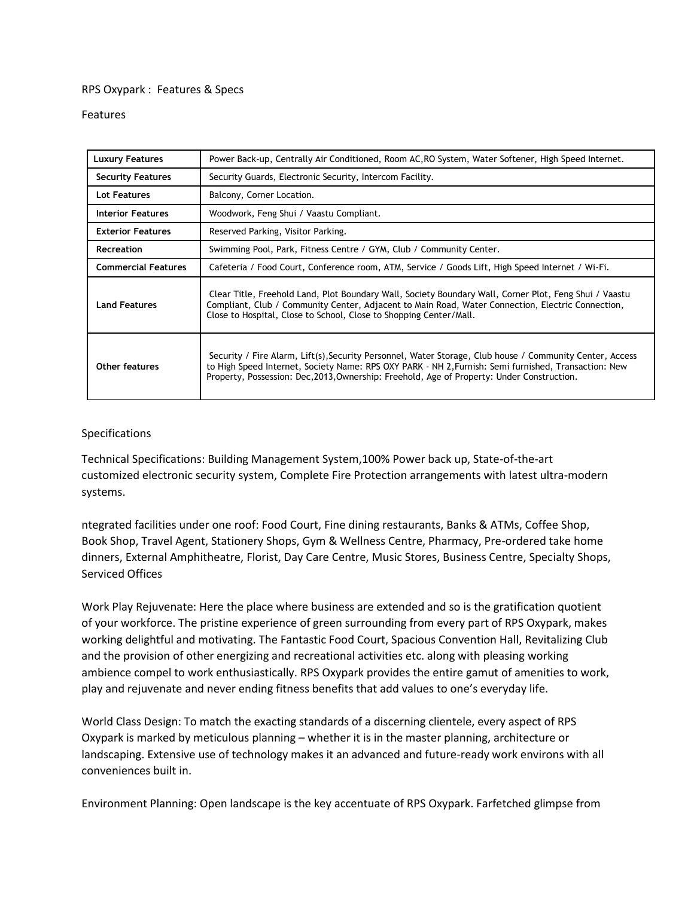## RPS Oxypark : Features & Specs

## Features

| <b>Luxury Features</b>     | Power Back-up, Centrally Air Conditioned, Room AC, RO System, Water Softener, High Speed Internet.                                                                                                                                                                                                             |
|----------------------------|----------------------------------------------------------------------------------------------------------------------------------------------------------------------------------------------------------------------------------------------------------------------------------------------------------------|
| <b>Security Features</b>   | Security Guards, Electronic Security, Intercom Facility.                                                                                                                                                                                                                                                       |
| Lot Features               | Balcony, Corner Location.                                                                                                                                                                                                                                                                                      |
| <b>Interior Features</b>   | Woodwork, Feng Shui / Vaastu Compliant.                                                                                                                                                                                                                                                                        |
| <b>Exterior Features</b>   | Reserved Parking, Visitor Parking.                                                                                                                                                                                                                                                                             |
| <b>Recreation</b>          | Swimming Pool, Park, Fitness Centre / GYM, Club / Community Center.                                                                                                                                                                                                                                            |
| <b>Commercial Features</b> | Cafeteria / Food Court, Conference room, ATM, Service / Goods Lift, High Speed Internet / Wi-Fi.                                                                                                                                                                                                               |
| <b>Land Features</b>       | Clear Title, Freehold Land, Plot Boundary Wall, Society Boundary Wall, Corner Plot, Feng Shui / Vaastu<br>Compliant, Club / Community Center, Adjacent to Main Road, Water Connection, Electric Connection,<br>Close to Hospital, Close to School, Close to Shopping Center/Mall.                              |
| <b>Other features</b>      | Security / Fire Alarm, Lift(s), Security Personnel, Water Storage, Club house / Community Center, Access<br>to High Speed Internet, Society Name: RPS OXY PARK - NH 2, Furnish: Semi furnished, Transaction: New<br>Property, Possession: Dec, 2013, Ownership: Freehold, Age of Property: Under Construction. |

## Specifications

Technical Specifications: Building Management System,100% Power back up, State-of-the-art customized electronic security system, Complete Fire Protection arrangements with latest ultra-modern systems.

ntegrated facilities under one roof: Food Court, Fine dining restaurants, Banks & ATMs, Coffee Shop, Book Shop, Travel Agent, Stationery Shops, Gym & Wellness Centre, Pharmacy, Pre-ordered take home dinners, External Amphitheatre, Florist, Day Care Centre, Music Stores, Business Centre, Specialty Shops, Serviced Offices

Work Play Rejuvenate: Here the place where business are extended and so is the gratification quotient of your workforce. The pristine experience of green surrounding from every part of RPS Oxypark, makes working delightful and motivating. The Fantastic Food Court, Spacious Convention Hall, Revitalizing Club and the provision of other energizing and recreational activities etc. along with pleasing working ambience compel to work enthusiastically. RPS Oxypark provides the entire gamut of amenities to work, play and rejuvenate and never ending fitness benefits that add values to one's everyday life.

World Class Design: To match the exacting standards of a discerning clientele, every aspect of RPS Oxypark is marked by meticulous planning – whether it is in the master planning, architecture or landscaping. Extensive use of technology makes it an advanced and future-ready work environs with all conveniences built in.

Environment Planning: Open landscape is the key accentuate of RPS Oxypark. Farfetched glimpse from